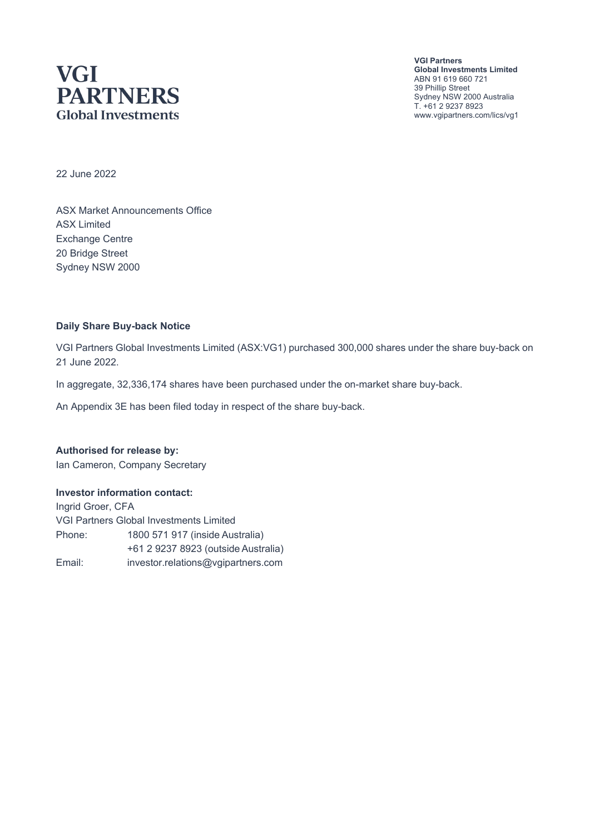## **VGI PARTNERS Global Investments**

**VGI Partners Global Investments Limited** ABN 91 619 660 721 39 Phillip Street Sydney NSW 2000 Australia T. +61 2 9237 8923 www.vgipartners.com/lics/vg1

22 June 2022

ASX Market Announcements Office ASX Limited Exchange Centre 20 Bridge Street Sydney NSW 2000

#### **Daily Share Buy-back Notice**

VGI Partners Global Investments Limited (ASX:VG1) purchased 300,000 shares under the share buy-back on 21 June 2022.

In aggregate, 32,336,174 shares have been purchased under the on-market share buy-back.

An Appendix 3E has been filed today in respect of the share buy-back.

**Authorised for release by:** Ian Cameron, Company Secretary

#### **Investor information contact:**

Ingrid Groer, CFA VGI Partners Global Investments Limited Phone: 1800 571 917 (inside Australia) +61 2 9237 8923 (outside Australia) Email: investor.relations@vgipartners.com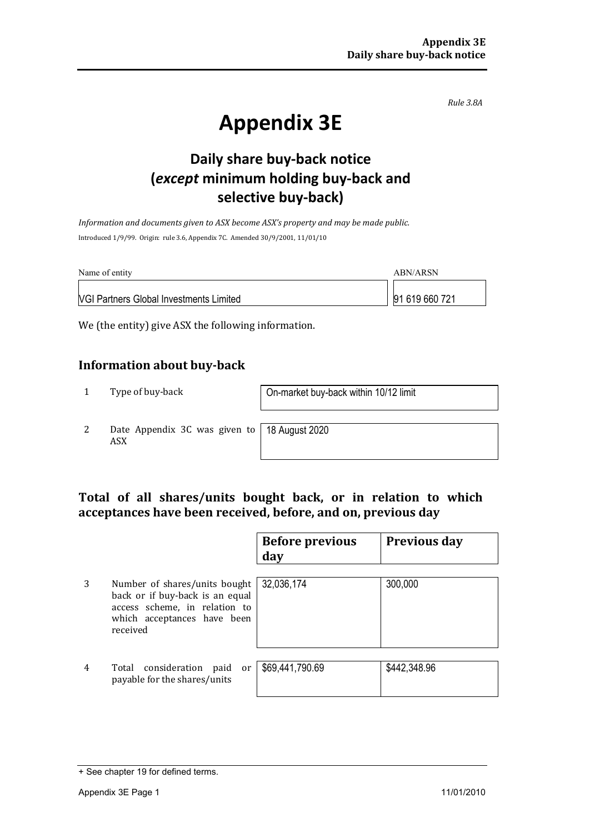*Rule 3.8A*

# **Appendix 3E**

## **Daily share buy-back notice (***except* **minimum holding buy-back and selective buy-back)**

*Information and documents given to ASX become ASX's property and may be made public.* Introduced 1/9/99. Origin: rule 3.6, Appendix 7C. Amended 30/9/2001, 11/01/10

| Name of entity                                 | ABN/ARSN       |
|------------------------------------------------|----------------|
| <b>VGI Partners Global Investments Limited</b> | 91 619 660 721 |

We (the entity) give ASX the following information.

#### **Information about buy-back**

1 Type of buy-back <br> **1** On-market buy-back within 10/12 limit

2 Date Appendix 3C was given to ASX

18 August 2020

#### **Total of all shares/units bought back, or in relation to which acceptances have been received, before, and on, previous day**

|   |                                                                                                                                              | <b>Before previous</b><br>day | <b>Previous day</b> |
|---|----------------------------------------------------------------------------------------------------------------------------------------------|-------------------------------|---------------------|
| 3 | Number of shares/units bought<br>back or if buy-back is an equal<br>access scheme, in relation to<br>which acceptances have been<br>received | 32,036,174                    | 300,000             |
| 4 | Total consideration<br>paid<br>or<br>payable for the shares/units                                                                            | \$69,441,790.69               | \$442,348.96        |

<sup>+</sup> See chapter 19 for defined terms.